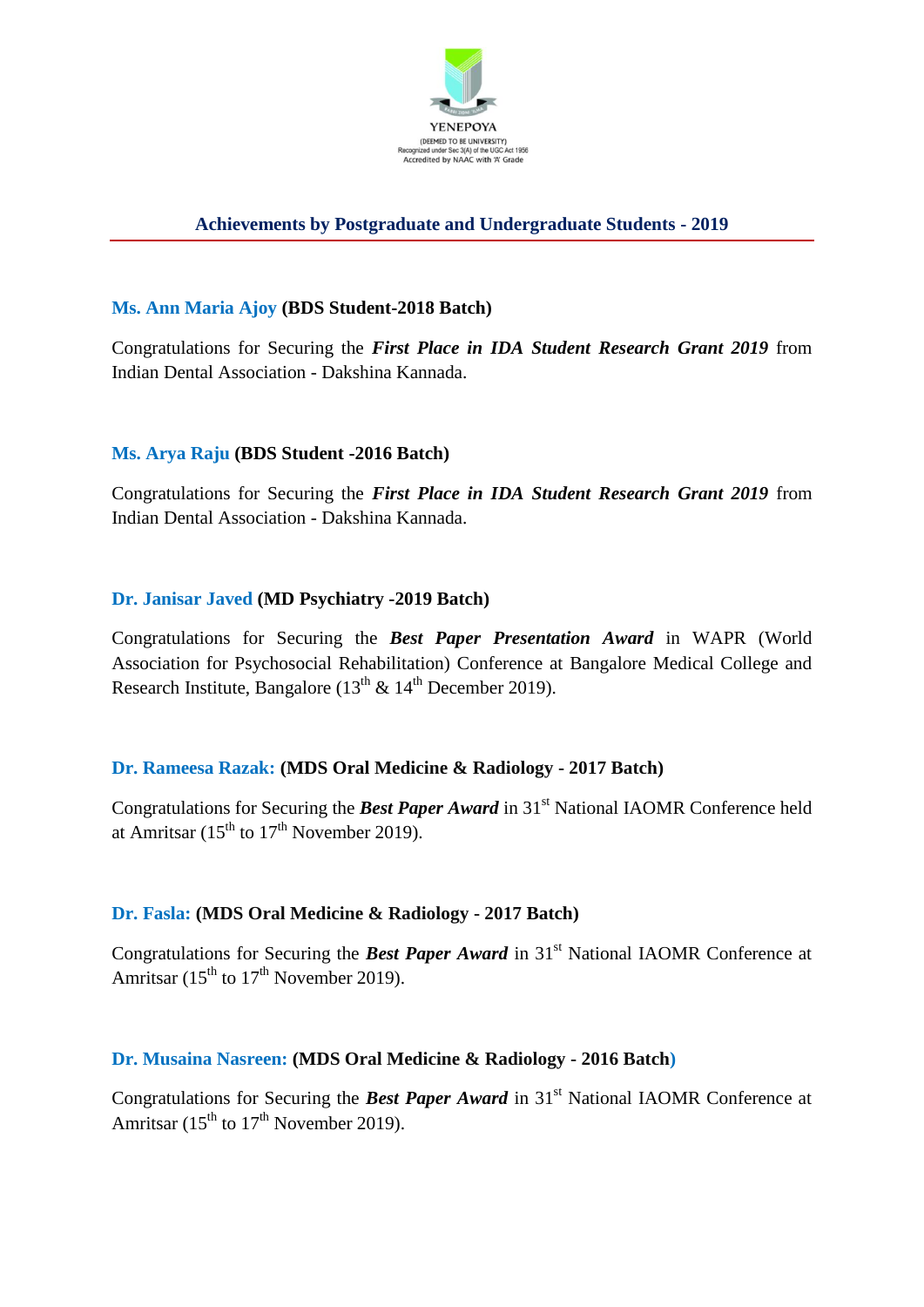

# **Achievements by Postgraduate and Undergraduate Students - 2019**

### **Ms. Ann Maria Ajoy (BDS Student-2018 Batch)**

Congratulations for Securing the *First Place in IDA Student Research Grant 2019* from Indian Dental Association - Dakshina Kannada.

### **Ms. Arya Raju (BDS Student -2016 Batch)**

Congratulations for Securing the *First Place in IDA Student Research Grant 2019* from Indian Dental Association - Dakshina Kannada.

### **Dr. Janisar Javed (MD Psychiatry -2019 Batch)**

Congratulations for Securing the *Best Paper Presentation Award* in WAPR (World Association for Psychosocial Rehabilitation) Conference at Bangalore Medical College and Research Institute, Bangalore ( $13<sup>th</sup>$  &  $14<sup>th</sup>$  December 2019).

### **Dr. Rameesa Razak: (MDS Oral Medicine & Radiology - 2017 Batch)**

Congratulations for Securing the **Best Paper Award** in 31<sup>st</sup> National IAOMR Conference held at Amritsar  $(15<sup>th</sup>$  to  $17<sup>th</sup>$  November 2019).

### **Dr. Fasla: (MDS Oral Medicine & Radiology - 2017 Batch)**

Congratulations for Securing the **Best Paper Award** in 31<sup>st</sup> National IAOMR Conference at Amritsar ( $15<sup>th</sup>$  to  $17<sup>th</sup>$  November 2019).

### **Dr. Musaina Nasreen: (MDS Oral Medicine & Radiology - 2016 Batch)**

Congratulations for Securing the **Best Paper Award** in 31<sup>st</sup> National IAOMR Conference at Amritsar  $(15^{th}$  to  $17^{th}$  November 2019).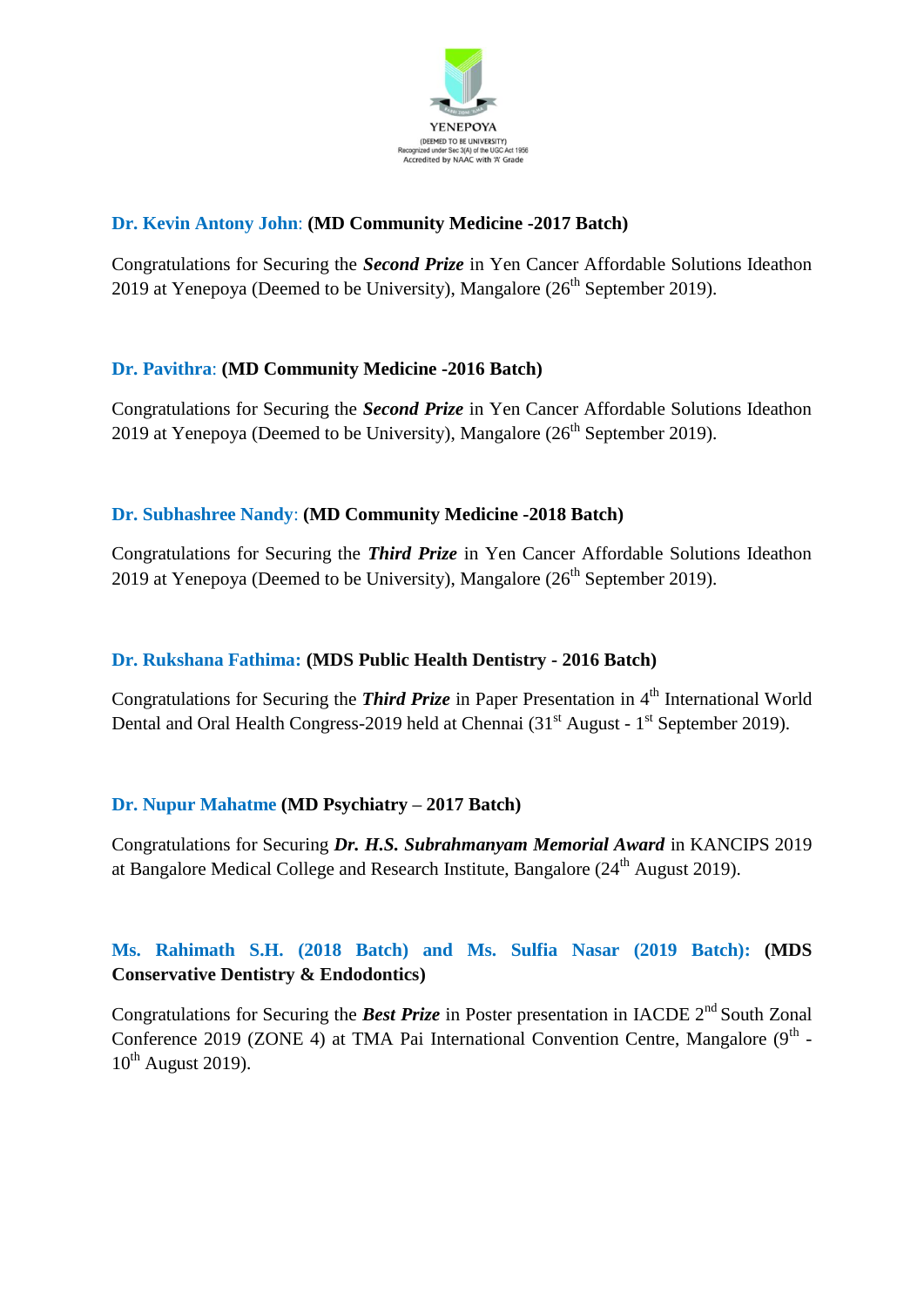

## **Dr. Kevin Antony John**: **(MD Community Medicine -2017 Batch)**

Congratulations for Securing the *Second Prize* in Yen Cancer Affordable Solutions Ideathon 2019 at Yenepova (Deemed to be University), Mangalore  $(26<sup>th</sup>$  September 2019).

### **Dr. Pavithra**: **(MD Community Medicine -2016 Batch)**

Congratulations for Securing the *Second Prize* in Yen Cancer Affordable Solutions Ideathon 2019 at Yenepoya (Deemed to be University), Mangalore  $(26<sup>th</sup>$  September 2019).

## **Dr. Subhashree Nandy**: **(MD Community Medicine -2018 Batch)**

Congratulations for Securing the *Third Prize* in Yen Cancer Affordable Solutions Ideathon 2019 at Yenepoya (Deemed to be University), Mangalore  $(26<sup>th</sup>$  September 2019).

### **Dr. Rukshana Fathima: (MDS Public Health Dentistry - 2016 Batch)**

Congratulations for Securing the *Third Prize* in Paper Presentation in 4<sup>th</sup> International World Dental and Oral Health Congress-2019 held at Chennai  $(31<sup>st</sup>$  August -  $1<sup>st</sup>$  September 2019).

# **Dr. Nupur Mahatme (MD Psychiatry – 2017 Batch)**

Congratulations for Securing *Dr. H.S. Subrahmanyam Memorial Award* in KANCIPS 2019 at Bangalore Medical College and Research Institute, Bangalore  $(24<sup>th</sup>$  August 2019).

# **Ms. Rahimath S.H. (2018 Batch) and Ms. Sulfia Nasar (2019 Batch): (MDS Conservative Dentistry & Endodontics)**

Congratulations for Securing the **Best Prize** in Poster presentation in IACDE 2<sup>nd</sup> South Zonal Conference 2019 (ZONE 4) at TMA Pai International Convention Centre, Mangalore ( $9<sup>th</sup>$  - $10^{th}$  August 2019).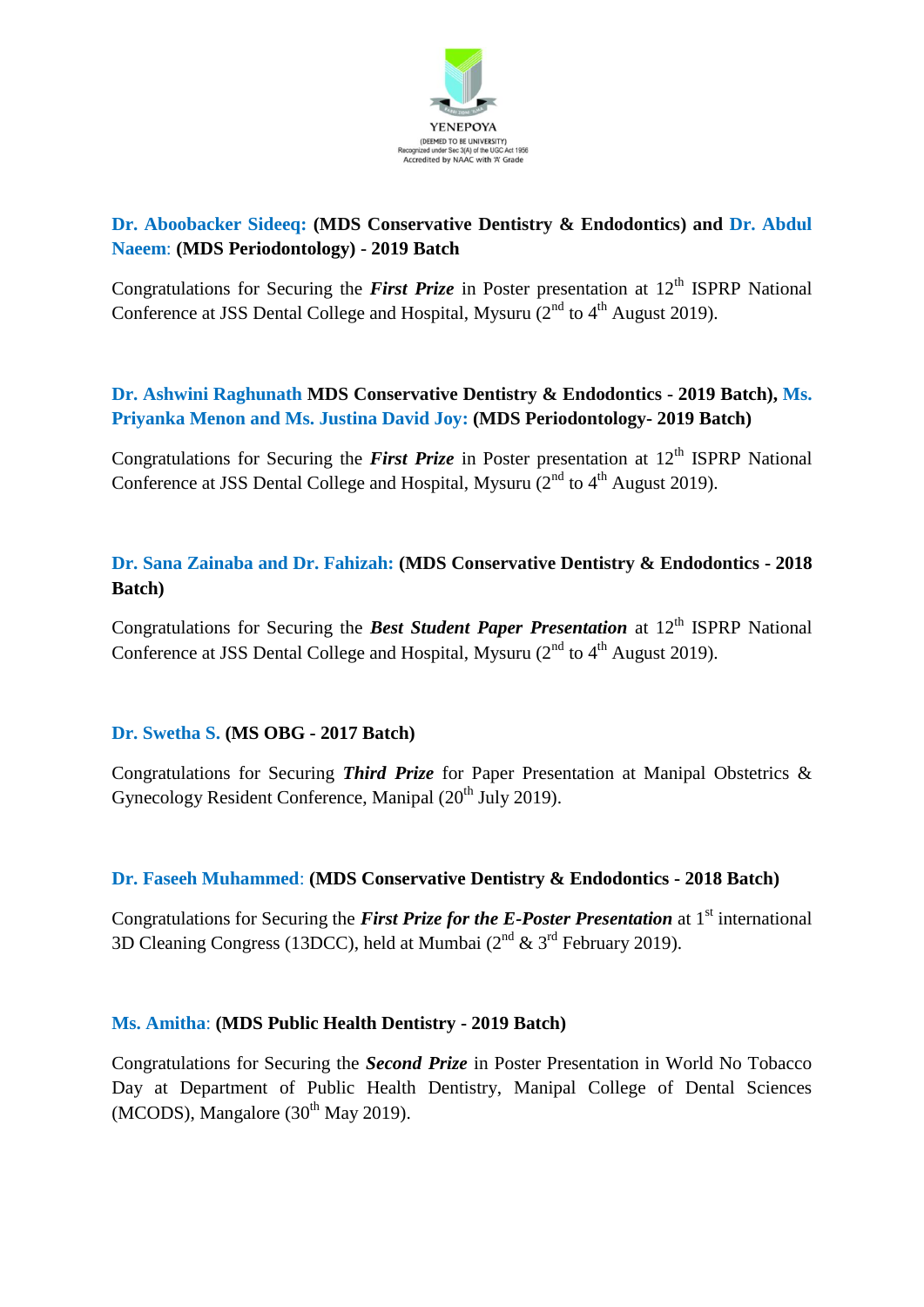

# **Dr. Aboobacker Sideeq: (MDS Conservative Dentistry & Endodontics) and Dr. Abdul Naeem**: **(MDS Periodontology) - 2019 Batch**

Congratulations for Securing the *First Prize* in Poster presentation at 12<sup>th</sup> ISPRP National Conference at JSS Dental College and Hospital, Mysuru  $(2<sup>nd</sup>$  to  $4<sup>th</sup>$  August 2019).

# **Dr. Ashwini Raghunath MDS Conservative Dentistry & Endodontics - 2019 Batch), Ms. Priyanka Menon and Ms. Justina David Joy: (MDS Periodontology- 2019 Batch)**

Congratulations for Securing the *First Prize* in Poster presentation at 12<sup>th</sup> ISPRP National Conference at JSS Dental College and Hospital, Mysuru  $(2^{nd}$  to  $4^{th}$  August 2019).

## **Dr. Sana Zainaba and Dr. Fahizah: (MDS Conservative Dentistry & Endodontics - 2018 Batch)**

Congratulations for Securing the **Best Student Paper Presentation** at 12<sup>th</sup> ISPRP National Conference at JSS Dental College and Hospital, Mysuru  $(2^{nd}$  to  $4^{th}$  August 2019).

### **Dr. Swetha S. (MS OBG - 2017 Batch)**

Congratulations for Securing *Third Prize* for Paper Presentation at Manipal Obstetrics & Gynecology Resident Conference, Manipal  $(20<sup>th</sup>$  July 2019).

# **Dr. Faseeh Muhammed**: **(MDS Conservative Dentistry & Endodontics - 2018 Batch)**

Congratulations for Securing the *First Prize for the E-Poster Presentation* at 1<sup>st</sup> international 3D Cleaning Congress (13DCC), held at Mumbai ( $2<sup>nd</sup>$  &  $3<sup>rd</sup>$  February 2019).

### **Ms. Amitha**: **(MDS Public Health Dentistry - 2019 Batch)**

Congratulations for Securing the *Second Prize* in Poster Presentation in World No Tobacco Day at Department of Public Health Dentistry, Manipal College of Dental Sciences (MCODS), Mangalore  $(30<sup>th</sup>$  May 2019).